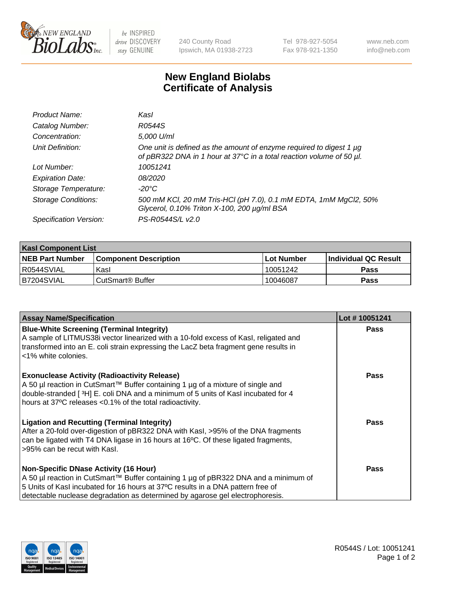

 $be$  INSPIRED drive DISCOVERY stay GENUINE

240 County Road Ipswich, MA 01938-2723 Tel 978-927-5054 Fax 978-921-1350 www.neb.com info@neb.com

## **New England Biolabs Certificate of Analysis**

| Product Name:              | Kasl                                                                                                                                        |
|----------------------------|---------------------------------------------------------------------------------------------------------------------------------------------|
| Catalog Number:            | R0544S                                                                                                                                      |
| Concentration:             | 5,000 U/ml                                                                                                                                  |
| Unit Definition:           | One unit is defined as the amount of enzyme required to digest 1 µg<br>of pBR322 DNA in 1 hour at 37°C in a total reaction volume of 50 µl. |
| Lot Number:                | 10051241                                                                                                                                    |
| <b>Expiration Date:</b>    | <i>08/2020</i>                                                                                                                              |
| Storage Temperature:       | -20°C                                                                                                                                       |
| <b>Storage Conditions:</b> | 500 mM KCl, 20 mM Tris-HCl (pH 7.0), 0.1 mM EDTA, 1mM MgCl2, 50%<br>Glycerol, 0.10% Triton X-100, 200 µg/ml BSA                             |
| Specification Version:     | PS-R0544S/L v2.0                                                                                                                            |

| <b>Kasl Component List</b> |                              |                   |                             |  |  |
|----------------------------|------------------------------|-------------------|-----------------------------|--|--|
| <b>NEB Part Number</b>     | <b>Component Description</b> | <b>Lot Number</b> | <b>Individual QC Result</b> |  |  |
| I R0544SVIAL               | Kasl                         | 10051242          | <b>Pass</b>                 |  |  |
| B7204SVIAL                 | l CutSmart® Buffer           | 10046087          | Pass                        |  |  |

| <b>Assay Name/Specification</b>                                                                                                                                                                                                                                                                         | Lot #10051241 |
|---------------------------------------------------------------------------------------------------------------------------------------------------------------------------------------------------------------------------------------------------------------------------------------------------------|---------------|
| <b>Blue-White Screening (Terminal Integrity)</b><br>A sample of LITMUS38i vector linearized with a 10-fold excess of Kasl, religated and<br>transformed into an E. coli strain expressing the LacZ beta fragment gene results in<br><1% white colonies.                                                 | <b>Pass</b>   |
| <b>Exonuclease Activity (Radioactivity Release)</b><br>A 50 µl reaction in CutSmart™ Buffer containing 1 µg of a mixture of single and<br>double-stranded [3H] E. coli DNA and a minimum of 5 units of Kasl incubated for 4<br>hours at 37°C releases <0.1% of the total radioactivity.                 | <b>Pass</b>   |
| <b>Ligation and Recutting (Terminal Integrity)</b><br>After a 20-fold over-digestion of pBR322 DNA with Kasl, >95% of the DNA fragments<br>can be ligated with T4 DNA ligase in 16 hours at 16°C. Of these ligated fragments,<br>>95% can be recut with Kasl.                                           | Pass          |
| <b>Non-Specific DNase Activity (16 Hour)</b><br>A 50 µl reaction in CutSmart™ Buffer containing 1 µg of pBR322 DNA and a minimum of<br>5 Units of Kasl incubated for 16 hours at 37°C results in a DNA pattern free of<br>detectable nuclease degradation as determined by agarose gel electrophoresis. | Pass          |